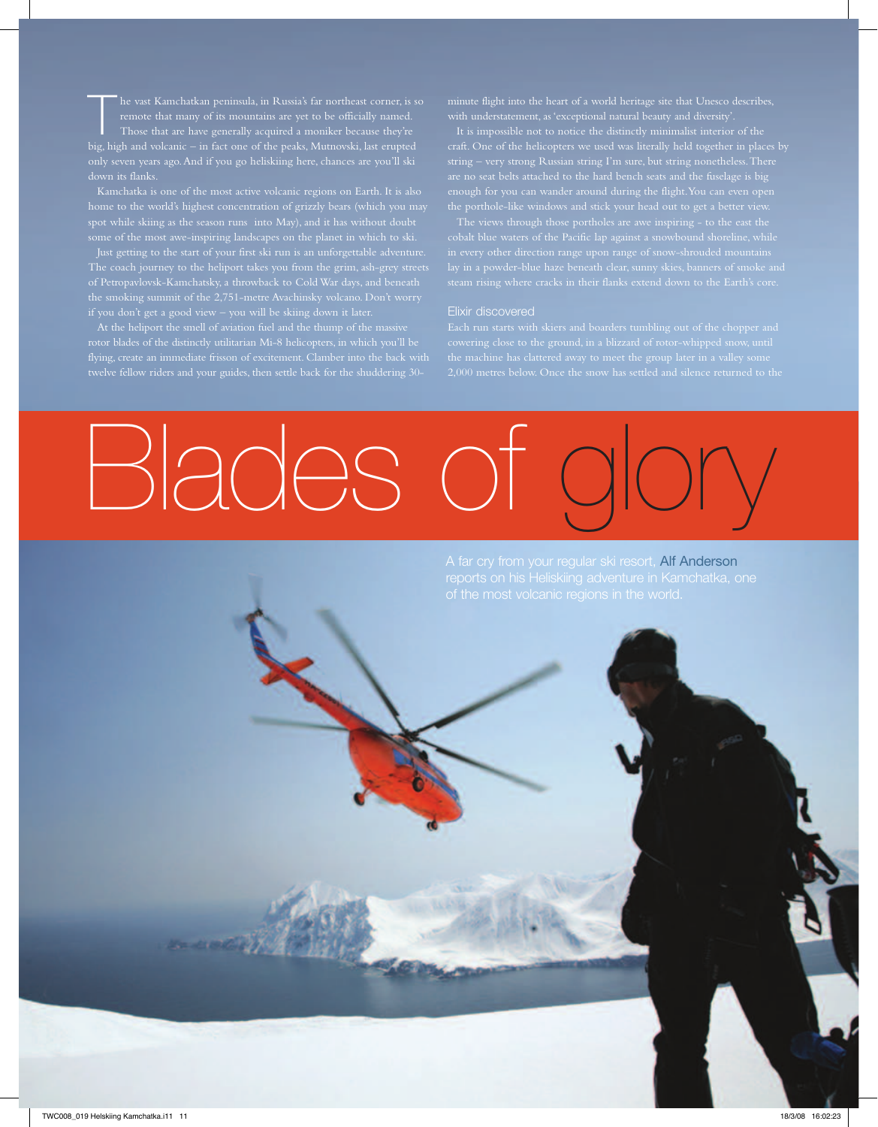big, high and volcanic – in fact one of the peaks, Mutnovski, last erupted only seven years ago. And if you go heliskiing here, chances are you'll ski down its flanks.

home to the world's highest concentration of grizzly bears (which you may spot while skiing as the season runs into May), and it has without doubt

the smoking summit of the 2,751-metre Avachinsky volcano. Don't worry

At the heliport the smell of aviation fuel and the thump of the massive rotor blades of the distinctly utilitarian Mi-8 helicopters, in which you'll be flying, create an immediate frisson of excitement. Clamber into the back with minute flight into the heart of a world heritage site that Unesco describes, with understatement, as 'exceptional natural beauty and diversity'.

string – very strong Russian string I'm sure, but string nonetheless. There are no seat belts attached to the hard bench seats and the fuselage is big

### Elixir discovered

cowering close to the ground, in a blizzard of rotor-whipped snow, until



A far cry from your regular ski resort, Alf Anderson

11